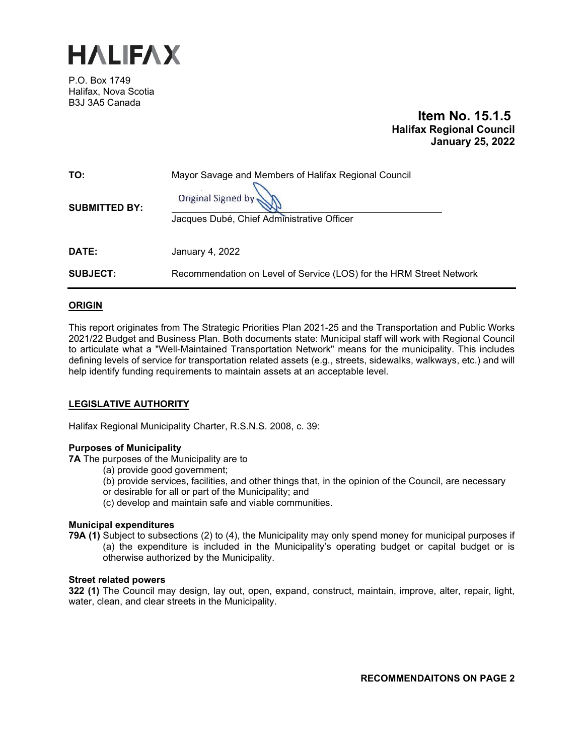

P.O. Box 1749 Halifax, Nova Scotia B3J 3A5 Canada

# **Item No. 15.1.5 Halifax Regional Council January 25, 2022**

| TO:<br><b>SUBMITTED BY:</b> | Mayor Savage and Members of Halifax Regional Council<br>Original Signed by<br>Jacques Dubé, Chief Administrative Officer |
|-----------------------------|--------------------------------------------------------------------------------------------------------------------------|
| DATE:                       | January 4, 2022                                                                                                          |
| <b>SUBJECT:</b>             | Recommendation on Level of Service (LOS) for the HRM Street Network                                                      |

## **ORIGIN**

This report originates from The Strategic Priorities Plan 2021-25 and the Transportation and Public Works 2021/22 Budget and Business Plan. Both documents state: Municipal staff will work with Regional Council to articulate what a "Well-Maintained Transportation Network" means for the municipality. This includes defining levels of service for transportation related assets (e.g., streets, sidewalks, walkways, etc.) and will help identify funding requirements to maintain assets at an acceptable level.

## **LEGISLATIVE AUTHORITY**

Halifax Regional Municipality Charter, R.S.N.S. 2008, c. 39:

## **Purposes of Municipality**

**7A** The purposes of the Municipality are to

- (a) provide good government;
- (b) provide services, facilities, and other things that, in the opinion of the Council, are necessary
- or desirable for all or part of the Municipality; and
- (c) develop and maintain safe and viable communities.

## **Municipal expenditures**

**79A (1)** Subject to subsections (2) to (4), the Municipality may only spend money for municipal purposes if (a) the expenditure is included in the Municipality's operating budget or capital budget or is otherwise authorized by the Municipality.

## **Street related powers**

**322 (1)** The Council may design, lay out, open, expand, construct, maintain, improve, alter, repair, light, water, clean, and clear streets in the Municipality.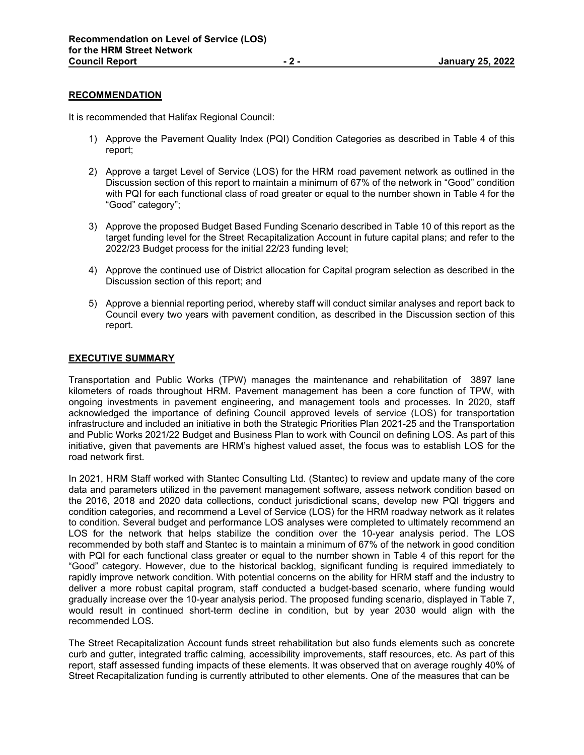#### **RECOMMENDATION**

It is recommended that Halifax Regional Council:

- 1) Approve the Pavement Quality Index (PQI) Condition Categories as described in Table 4 of this report;
- 2) Approve a target Level of Service (LOS) for the HRM road pavement network as outlined in the Discussion section of this report to maintain a minimum of 67% of the network in "Good" condition with PQI for each functional class of road greater or equal to the number shown in Table 4 for the "Good" category";
- 3) Approve the proposed Budget Based Funding Scenario described in Table 10 of this report as the target funding level for the Street Recapitalization Account in future capital plans; and refer to the 2022/23 Budget process for the initial 22/23 funding level;
- 4) Approve the continued use of District allocation for Capital program selection as described in the Discussion section of this report; and
- 5) Approve a biennial reporting period, whereby staff will conduct similar analyses and report back to Council every two years with pavement condition, as described in the Discussion section of this report.

#### **EXECUTIVE SUMMARY**

Transportation and Public Works (TPW) manages the maintenance and rehabilitation of 3897 lane kilometers of roads throughout HRM. Pavement management has been a core function of TPW, with ongoing investments in pavement engineering, and management tools and processes. In 2020, staff acknowledged the importance of defining Council approved levels of service (LOS) for transportation infrastructure and included an initiative in both the Strategic Priorities Plan 2021-25 and the Transportation and Public Works 2021/22 Budget and Business Plan to work with Council on defining LOS. As part of this initiative, given that pavements are HRM's highest valued asset, the focus was to establish LOS for the road network first.

In 2021, HRM Staff worked with Stantec Consulting Ltd. (Stantec) to review and update many of the core data and parameters utilized in the pavement management software, assess network condition based on the 2016, 2018 and 2020 data collections, conduct jurisdictional scans, develop new PQI triggers and condition categories, and recommend a Level of Service (LOS) for the HRM roadway network as it relates to condition. Several budget and performance LOS analyses were completed to ultimately recommend an LOS for the network that helps stabilize the condition over the 10-year analysis period. The LOS recommended by both staff and Stantec is to maintain a minimum of 67% of the network in good condition with PQI for each functional class greater or equal to the number shown in Table 4 of this report for the "Good" category. However, due to the historical backlog, significant funding is required immediately to rapidly improve network condition. With potential concerns on the ability for HRM staff and the industry to deliver a more robust capital program, staff conducted a budget-based scenario, where funding would gradually increase over the 10-year analysis period. The proposed funding scenario, displayed in Table 7, would result in continued short-term decline in condition, but by year 2030 would align with the recommended LOS.

The Street Recapitalization Account funds street rehabilitation but also funds elements such as concrete curb and gutter, integrated traffic calming, accessibility improvements, staff resources, etc. As part of this report, staff assessed funding impacts of these elements. It was observed that on average roughly 40% of Street Recapitalization funding is currently attributed to other elements. One of the measures that can be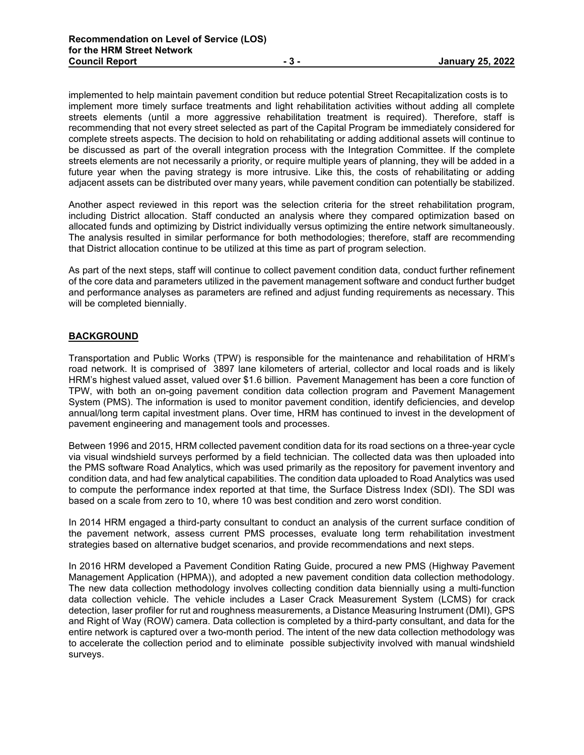implemented to help maintain pavement condition but reduce potential Street Recapitalization costs is to implement more timely surface treatments and light rehabilitation activities without adding all complete streets elements (until a more aggressive rehabilitation treatment is required). Therefore, staff is recommending that not every street selected as part of the Capital Program be immediately considered for complete streets aspects. The decision to hold on rehabilitating or adding additional assets will continue to be discussed as part of the overall integration process with the Integration Committee. If the complete streets elements are not necessarily a priority, or require multiple years of planning, they will be added in a future year when the paving strategy is more intrusive. Like this, the costs of rehabilitating or adding adjacent assets can be distributed over many years, while pavement condition can potentially be stabilized.

Another aspect reviewed in this report was the selection criteria for the street rehabilitation program, including District allocation. Staff conducted an analysis where they compared optimization based on allocated funds and optimizing by District individually versus optimizing the entire network simultaneously. The analysis resulted in similar performance for both methodologies; therefore, staff are recommending that District allocation continue to be utilized at this time as part of program selection.

As part of the next steps, staff will continue to collect pavement condition data, conduct further refinement of the core data and parameters utilized in the pavement management software and conduct further budget and performance analyses as parameters are refined and adjust funding requirements as necessary. This will be completed biennially.

## **BACKGROUND**

Transportation and Public Works (TPW) is responsible for the maintenance and rehabilitation of HRM's road network. It is comprised of 3897 lane kilometers of arterial, collector and local roads and is likely HRM's highest valued asset, valued over \$1.6 billion. Pavement Management has been a core function of TPW, with both an on-going pavement condition data collection program and Pavement Management System (PMS). The information is used to monitor pavement condition, identify deficiencies, and develop annual/long term capital investment plans. Over time, HRM has continued to invest in the development of pavement engineering and management tools and processes.

Between 1996 and 2015, HRM collected pavement condition data for its road sections on a three-year cycle via visual windshield surveys performed by a field technician. The collected data was then uploaded into the PMS software Road Analytics, which was used primarily as the repository for pavement inventory and condition data, and had few analytical capabilities. The condition data uploaded to Road Analytics was used to compute the performance index reported at that time, the Surface Distress Index (SDI). The SDI was based on a scale from zero to 10, where 10 was best condition and zero worst condition.

In 2014 HRM engaged a third-party consultant to conduct an analysis of the current surface condition of the pavement network, assess current PMS processes, evaluate long term rehabilitation investment strategies based on alternative budget scenarios, and provide recommendations and next steps.

In 2016 HRM developed a Pavement Condition Rating Guide, procured a new PMS (Highway Pavement Management Application (HPMA)), and adopted a new pavement condition data collection methodology. The new data collection methodology involves collecting condition data biennially using a multi-function data collection vehicle. The vehicle includes a Laser Crack Measurement System (LCMS) for crack detection, laser profiler for rut and roughness measurements, a Distance Measuring Instrument (DMI), GPS and Right of Way (ROW) camera. Data collection is completed by a third-party consultant, and data for the entire network is captured over a two-month period. The intent of the new data collection methodology was to accelerate the collection period and to eliminate possible subjectivity involved with manual windshield surveys.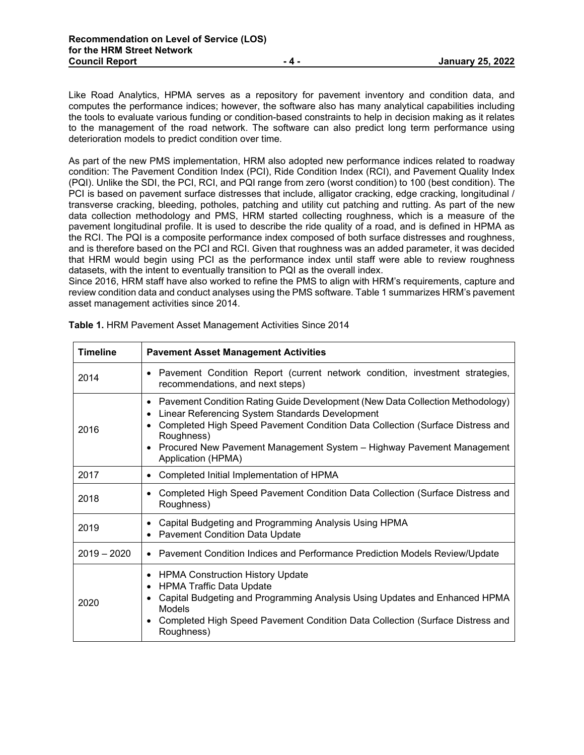Like Road Analytics, HPMA serves as a repository for pavement inventory and condition data, and computes the performance indices; however, the software also has many analytical capabilities including the tools to evaluate various funding or condition-based constraints to help in decision making as it relates to the management of the road network. The software can also predict long term performance using deterioration models to predict condition over time.

As part of the new PMS implementation, HRM also adopted new performance indices related to roadway condition: The Pavement Condition Index (PCI), Ride Condition Index (RCI), and Pavement Quality Index (PQI). Unlike the SDI, the PCI, RCI, and PQI range from zero (worst condition) to 100 (best condition). The PCI is based on pavement surface distresses that include, alligator cracking, edge cracking, longitudinal / transverse cracking, bleeding, potholes, patching and utility cut patching and rutting. As part of the new data collection methodology and PMS, HRM started collecting roughness, which is a measure of the pavement longitudinal profile. It is used to describe the ride quality of a road, and is defined in HPMA as the RCI. The PQI is a composite performance index composed of both surface distresses and roughness, and is therefore based on the PCI and RCI. Given that roughness was an added parameter, it was decided that HRM would begin using PCI as the performance index until staff were able to review roughness datasets, with the intent to eventually transition to PQI as the overall index.

Since 2016, HRM staff have also worked to refine the PMS to align with HRM's requirements, capture and review condition data and conduct analyses using the PMS software. Table 1 summarizes HRM's pavement asset management activities since 2014.

| <b>Timeline</b> | <b>Pavement Asset Management Activities</b>                                                                                                                                                                                                                                                                                                 |
|-----------------|---------------------------------------------------------------------------------------------------------------------------------------------------------------------------------------------------------------------------------------------------------------------------------------------------------------------------------------------|
| 2014            | • Pavement Condition Report (current network condition, investment strategies,<br>recommendations, and next steps)                                                                                                                                                                                                                          |
| 2016            | Pavement Condition Rating Guide Development (New Data Collection Methodology)<br>$\bullet$<br>Linear Referencing System Standards Development<br>Completed High Speed Pavement Condition Data Collection (Surface Distress and<br>Roughness)<br>Procured New Pavement Management System - Highway Pavement Management<br>Application (HPMA) |
| 2017            | Completed Initial Implementation of HPMA<br>$\bullet$                                                                                                                                                                                                                                                                                       |
| 2018            | Completed High Speed Pavement Condition Data Collection (Surface Distress and<br>Roughness)                                                                                                                                                                                                                                                 |
| 2019            | Capital Budgeting and Programming Analysis Using HPMA<br>$\bullet$<br><b>Pavement Condition Data Update</b>                                                                                                                                                                                                                                 |
| $2019 - 2020$   | • Pavement Condition Indices and Performance Prediction Models Review/Update                                                                                                                                                                                                                                                                |
| 2020            | <b>HPMA Construction History Update</b><br>$\bullet$<br><b>HPMA Traffic Data Update</b><br>Capital Budgeting and Programming Analysis Using Updates and Enhanced HPMA<br>Models<br>Completed High Speed Pavement Condition Data Collection (Surface Distress and<br>Roughness)                                                              |

**Table 1.** HRM Pavement Asset Management Activities Since 2014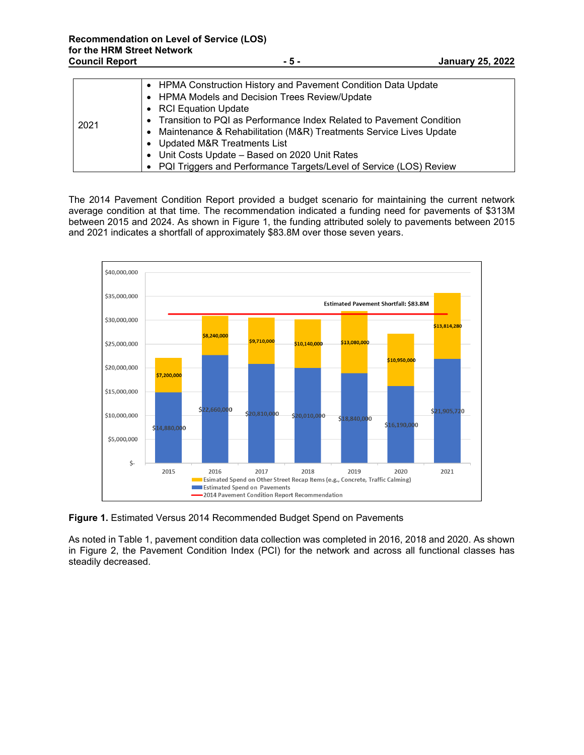|      | • HPMA Construction History and Pavement Condition Data Update<br>• HPMA Models and Decision Trees Review/Update |
|------|------------------------------------------------------------------------------------------------------------------|
|      | • RCI Equation Update                                                                                            |
| 2021 | • Transition to PQI as Performance Index Related to Pavement Condition                                           |
|      | Maintenance & Rehabilitation (M&R) Treatments Service Lives Update                                               |
|      | • Updated M&R Treatments List                                                                                    |
|      | • Unit Costs Update - Based on 2020 Unit Rates                                                                   |
|      | • PQI Triggers and Performance Targets/Level of Service (LOS) Review                                             |

The 2014 Pavement Condition Report provided a budget scenario for maintaining the current network average condition at that time. The recommendation indicated a funding need for pavements of \$313M between 2015 and 2024. As shown in Figure 1, the funding attributed solely to pavements between 2015 and 2021 indicates a shortfall of approximately \$83.8M over those seven years.



**Figure 1.** Estimated Versus 2014 Recommended Budget Spend on Pavements

As noted in Table 1, pavement condition data collection was completed in 2016, 2018 and 2020. As shown in Figure 2, the Pavement Condition Index (PCI) for the network and across all functional classes has steadily decreased.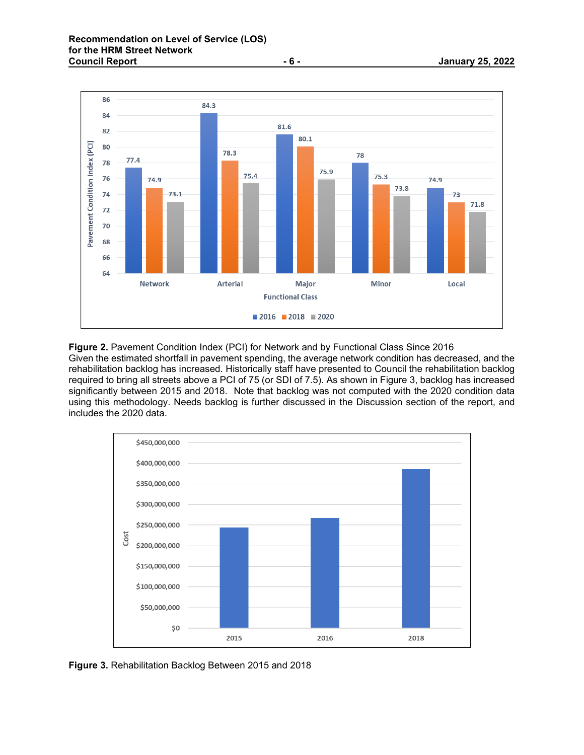

**Figure 2.** Pavement Condition Index (PCI) for Network and by Functional Class Since 2016 Given the estimated shortfall in pavement spending, the average network condition has decreased, and the rehabilitation backlog has increased. Historically staff have presented to Council the rehabilitation backlog required to bring all streets above a PCI of 75 (or SDI of 7.5). As shown in Figure 3, backlog has increased significantly between 2015 and 2018. Note that backlog was not computed with the 2020 condition data using this methodology. Needs backlog is further discussed in the Discussion section of the report, and includes the 2020 data.



**Figure 3.** Rehabilitation Backlog Between 2015 and 2018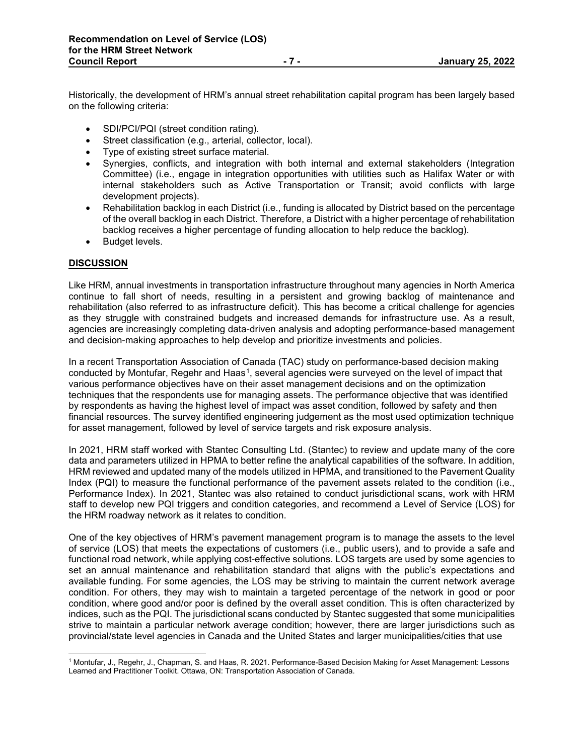Historically, the development of HRM's annual street rehabilitation capital program has been largely based on the following criteria:

- SDI/PCI/PQI (street condition rating).
- Street classification (e.g., arterial, collector, local).
- Type of existing street surface material.
- Synergies, conflicts, and integration with both internal and external stakeholders (Integration Committee) (i.e., engage in integration opportunities with utilities such as Halifax Water or with internal stakeholders such as Active Transportation or Transit; avoid conflicts with large development projects).
- Rehabilitation backlog in each District (i.e., funding is allocated by District based on the percentage of the overall backlog in each District. Therefore, a District with a higher percentage of rehabilitation backlog receives a higher percentage of funding allocation to help reduce the backlog).
- Budget levels.

# **DISCUSSION**

Like HRM, annual investments in transportation infrastructure throughout many agencies in North America continue to fall short of needs, resulting in a persistent and growing backlog of maintenance and rehabilitation (also referred to as infrastructure deficit). This has become a critical challenge for agencies as they struggle with constrained budgets and increased demands for infrastructure use. As a result, agencies are increasingly completing data-driven analysis and adopting performance-based management and decision-making approaches to help develop and prioritize investments and policies.

In a recent Transportation Association of Canada (TAC) study on performance-based decision making conducted by Montufar, Regehr and Haas<sup>1</sup>, several agencies were surveyed on the level of impact that various performance objectives have on their asset management decisions and on the optimization techniques that the respondents use for managing assets. The performance objective that was identified by respondents as having the highest level of impact was asset condition, followed by safety and then financial resources. The survey identified engineering judgement as the most used optimization technique for asset management, followed by level of service targets and risk exposure analysis.

In 2021, HRM staff worked with Stantec Consulting Ltd. (Stantec) to review and update many of the core data and parameters utilized in HPMA to better refine the analytical capabilities of the software. In addition, HRM reviewed and updated many of the models utilized in HPMA, and transitioned to the Pavement Quality Index (PQI) to measure the functional performance of the pavement assets related to the condition (i.e., Performance Index). In 2021, Stantec was also retained to conduct jurisdictional scans, work with HRM staff to develop new PQI triggers and condition categories, and recommend a Level of Service (LOS) for the HRM roadway network as it relates to condition.

One of the key objectives of HRM's pavement management program is to manage the assets to the level of service (LOS) that meets the expectations of customers (i.e., public users), and to provide a safe and functional road network, while applying cost-effective solutions. LOS targets are used by some agencies to set an annual maintenance and rehabilitation standard that aligns with the public's expectations and available funding. For some agencies, the LOS may be striving to maintain the current network average condition. For others, they may wish to maintain a targeted percentage of the network in good or poor condition, where good and/or poor is defined by the overall asset condition. This is often characterized by indices, such as the PQI. The jurisdictional scans conducted by Stantec suggested that some municipalities strive to maintain a particular network average condition; however, there are larger jurisdictions such as provincial/state level agencies in Canada and the United States and larger municipalities/cities that use

<span id="page-6-0"></span><sup>1</sup> Montufar, J., Regehr, J., Chapman, S. and Haas, R. 2021. Performance-Based Decision Making for Asset Management: Lessons Learned and Practitioner Toolkit. Ottawa, ON: Transportation Association of Canada.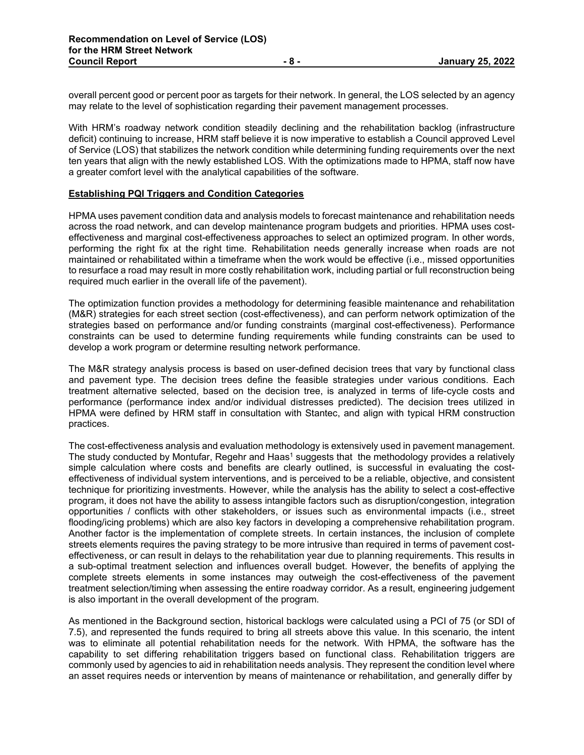overall percent good or percent poor as targets for their network. In general, the LOS selected by an agency may relate to the level of sophistication regarding their pavement management processes.

With HRM's roadway network condition steadily declining and the rehabilitation backlog (infrastructure deficit) continuing to increase, HRM staff believe it is now imperative to establish a Council approved Level of Service (LOS) that stabilizes the network condition while determining funding requirements over the next ten years that align with the newly established LOS. With the optimizations made to HPMA, staff now have a greater comfort level with the analytical capabilities of the software.

## **Establishing PQI Triggers and Condition Categories**

HPMA uses pavement condition data and analysis models to forecast maintenance and rehabilitation needs across the road network, and can develop maintenance program budgets and priorities. HPMA uses costeffectiveness and marginal cost-effectiveness approaches to select an optimized program. In other words, performing the right fix at the right time. Rehabilitation needs generally increase when roads are not maintained or rehabilitated within a timeframe when the work would be effective (i.e., missed opportunities to resurface a road may result in more costly rehabilitation work, including partial or full reconstruction being required much earlier in the overall life of the pavement).

The optimization function provides a methodology for determining feasible maintenance and rehabilitation (M&R) strategies for each street section (cost-effectiveness), and can perform network optimization of the strategies based on performance and/or funding constraints (marginal cost-effectiveness). Performance constraints can be used to determine funding requirements while funding constraints can be used to develop a work program or determine resulting network performance.

The M&R strategy analysis process is based on user-defined decision trees that vary by functional class and pavement type. The decision trees define the feasible strategies under various conditions. Each treatment alternative selected, based on the decision tree, is analyzed in terms of life-cycle costs and performance (performance index and/or individual distresses predicted). The decision trees utilized in HPMA were defined by HRM staff in consultation with Stantec, and align with typical HRM construction practices.

The cost-effectiveness analysis and evaluation methodology is extensively used in pavement management. The study conducted by Montufar, Regehr and Haas<sup>1</sup> suggests that the methodology provides a relatively simple calculation where costs and benefits are clearly outlined, is successful in evaluating the costeffectiveness of individual system interventions, and is perceived to be a reliable, objective, and consistent technique for prioritizing investments. However, while the analysis has the ability to select a cost-effective program, it does not have the ability to assess intangible factors such as disruption/congestion, integration opportunities / conflicts with other stakeholders, or issues such as environmental impacts (i.e., street flooding/icing problems) which are also key factors in developing a comprehensive rehabilitation program. Another factor is the implementation of complete streets. In certain instances, the inclusion of complete streets elements requires the paving strategy to be more intrusive than required in terms of pavement costeffectiveness, or can result in delays to the rehabilitation year due to planning requirements. This results in a sub-optimal treatment selection and influences overall budget. However, the benefits of applying the complete streets elements in some instances may outweigh the cost-effectiveness of the pavement treatment selection/timing when assessing the entire roadway corridor. As a result, engineering judgement is also important in the overall development of the program.

As mentioned in the Background section, historical backlogs were calculated using a PCI of 75 (or SDI of 7.5), and represented the funds required to bring all streets above this value. In this scenario, the intent was to eliminate all potential rehabilitation needs for the network. With HPMA, the software has the capability to set differing rehabilitation triggers based on functional class. Rehabilitation triggers are commonly used by agencies to aid in rehabilitation needs analysis. They represent the condition level where an asset requires needs or intervention by means of maintenance or rehabilitation, and generally differ by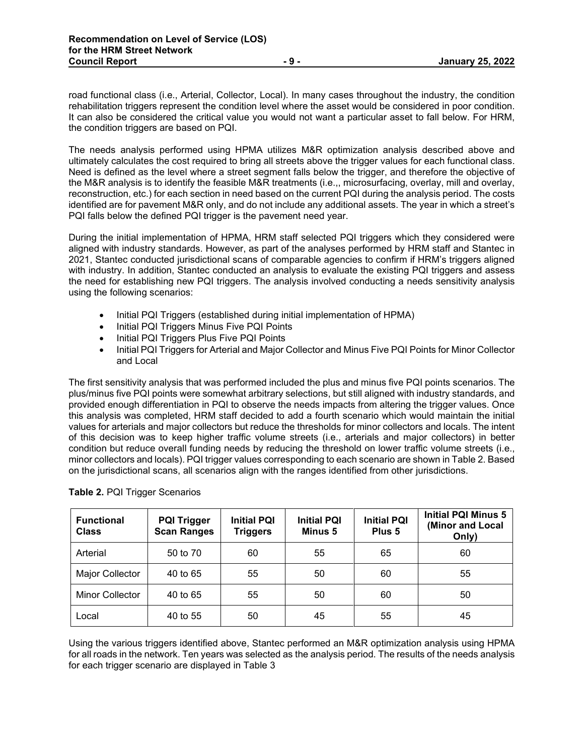road functional class (i.e., Arterial, Collector, Local). In many cases throughout the industry, the condition rehabilitation triggers represent the condition level where the asset would be considered in poor condition. It can also be considered the critical value you would not want a particular asset to fall below. For HRM, the condition triggers are based on PQI.

The needs analysis performed using HPMA utilizes M&R optimization analysis described above and ultimately calculates the cost required to bring all streets above the trigger values for each functional class. Need is defined as the level where a street segment falls below the trigger, and therefore the objective of the M&R analysis is to identify the feasible M&R treatments (i.e.,, microsurfacing, overlay, mill and overlay, reconstruction, etc.) for each section in need based on the current PQI during the analysis period. The costs identified are for pavement M&R only, and do not include any additional assets. The year in which a street's PQI falls below the defined PQI trigger is the pavement need year.

During the initial implementation of HPMA, HRM staff selected PQI triggers which they considered were aligned with industry standards. However, as part of the analyses performed by HRM staff and Stantec in 2021, Stantec conducted jurisdictional scans of comparable agencies to confirm if HRM's triggers aligned with industry. In addition, Stantec conducted an analysis to evaluate the existing PQI triggers and assess the need for establishing new PQI triggers. The analysis involved conducting a needs sensitivity analysis using the following scenarios:

- Initial PQI Triggers (established during initial implementation of HPMA)
- Initial PQI Triggers Minus Five PQI Points
- Initial PQI Triggers Plus Five PQI Points
- Initial PQI Triggers for Arterial and Major Collector and Minus Five PQI Points for Minor Collector and Local

The first sensitivity analysis that was performed included the plus and minus five PQI points scenarios. The plus/minus five PQI points were somewhat arbitrary selections, but still aligned with industry standards, and provided enough differentiation in PQI to observe the needs impacts from altering the trigger values. Once this analysis was completed, HRM staff decided to add a fourth scenario which would maintain the initial values for arterials and major collectors but reduce the thresholds for minor collectors and locals. The intent of this decision was to keep higher traffic volume streets (i.e., arterials and major collectors) in better condition but reduce overall funding needs by reducing the threshold on lower traffic volume streets (i.e., minor collectors and locals). PQI trigger values corresponding to each scenario are shown in Table 2. Based on the jurisdictional scans, all scenarios align with the ranges identified from other jurisdictions.

| <b>Functional</b><br><b>Class</b> | <b>PQI Trigger</b><br><b>Scan Ranges</b> | <b>Initial PQI</b><br><b>Triggers</b> | <b>Initial PQI</b><br>Minus 5 | <b>Initial PQI</b><br>Plus <sub>5</sub> | <b>Initial PQI Minus 5</b><br>(Minor and Local<br>Only) |
|-----------------------------------|------------------------------------------|---------------------------------------|-------------------------------|-----------------------------------------|---------------------------------------------------------|
| Arterial                          | 50 to 70                                 | 60                                    | 55                            | 65                                      | 60                                                      |
| Major Collector                   | 40 to 65                                 | 55                                    | 50                            | 60                                      | 55                                                      |
| <b>Minor Collector</b>            | 40 to 65                                 | 55                                    | 50                            | 60                                      | 50                                                      |
| Local                             | 40 to 55                                 | 50                                    | 45                            | 55                                      | 45                                                      |

| Table 2. PQI Trigger Scenarios |  |
|--------------------------------|--|
|--------------------------------|--|

Using the various triggers identified above, Stantec performed an M&R optimization analysis using HPMA for all roads in the network. Ten years was selected as the analysis period. The results of the needs analysis for each trigger scenario are displayed in Table 3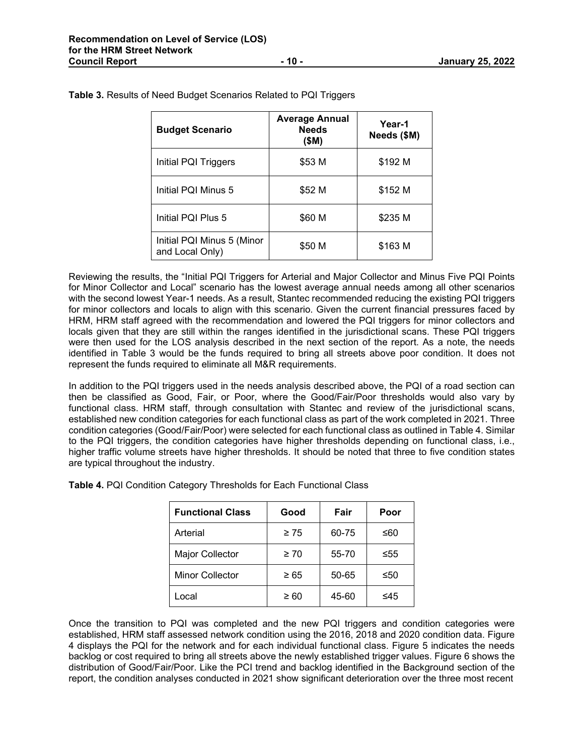| <b>Budget Scenario</b>                        | <b>Average Annual</b><br><b>Needs</b><br>(\$M) | Year-1<br>Needs (\$M) |
|-----------------------------------------------|------------------------------------------------|-----------------------|
| Initial PQI Triggers                          | \$53 M                                         | \$192 M               |
| Initial PQI Minus 5                           | \$52 M                                         | \$152 M               |
| Initial PQI Plus 5                            | \$60 M                                         | \$235 M               |
| Initial PQI Minus 5 (Minor<br>and Local Only) | \$50 M                                         | \$163 M               |

**Table 3.** Results of Need Budget Scenarios Related to PQI Triggers

Reviewing the results, the "Initial PQI Triggers for Arterial and Major Collector and Minus Five PQI Points for Minor Collector and Local" scenario has the lowest average annual needs among all other scenarios with the second lowest Year-1 needs. As a result, Stantec recommended reducing the existing PQI triggers for minor collectors and locals to align with this scenario. Given the current financial pressures faced by HRM, HRM staff agreed with the recommendation and lowered the PQI triggers for minor collectors and locals given that they are still within the ranges identified in the jurisdictional scans. These PQI triggers were then used for the LOS analysis described in the next section of the report. As a note, the needs identified in Table 3 would be the funds required to bring all streets above poor condition. It does not represent the funds required to eliminate all M&R requirements.

In addition to the PQI triggers used in the needs analysis described above, the PQI of a road section can then be classified as Good, Fair, or Poor, where the Good/Fair/Poor thresholds would also vary by functional class. HRM staff, through consultation with Stantec and review of the jurisdictional scans, established new condition categories for each functional class as part of the work completed in 2021. Three condition categories (Good/Fair/Poor) were selected for each functional class as outlined in Table 4. Similar to the PQI triggers, the condition categories have higher thresholds depending on functional class, i.e., higher traffic volume streets have higher thresholds. It should be noted that three to five condition states are typical throughout the industry.

| <b>Functional Class</b> | Good      | Fair  | Poor |
|-------------------------|-----------|-------|------|
| Arterial                | $\geq 75$ | 60-75 | ≤60  |
| <b>Major Collector</b>  | $\geq 70$ | 55-70 | ≤55  |
| <b>Minor Collector</b>  | $\geq 65$ | 50-65 | ≤50  |
| Local                   | $\geq 60$ | 45-60 | ≤45  |

**Table 4.** PQI Condition Category Thresholds for Each Functional Class

Once the transition to PQI was completed and the new PQI triggers and condition categories were established, HRM staff assessed network condition using the 2016, 2018 and 2020 condition data. Figure 4 displays the PQI for the network and for each individual functional class. Figure 5 indicates the needs backlog or cost required to bring all streets above the newly established trigger values. Figure 6 shows the distribution of Good/Fair/Poor. Like the PCI trend and backlog identified in the Background section of the report, the condition analyses conducted in 2021 show significant deterioration over the three most recent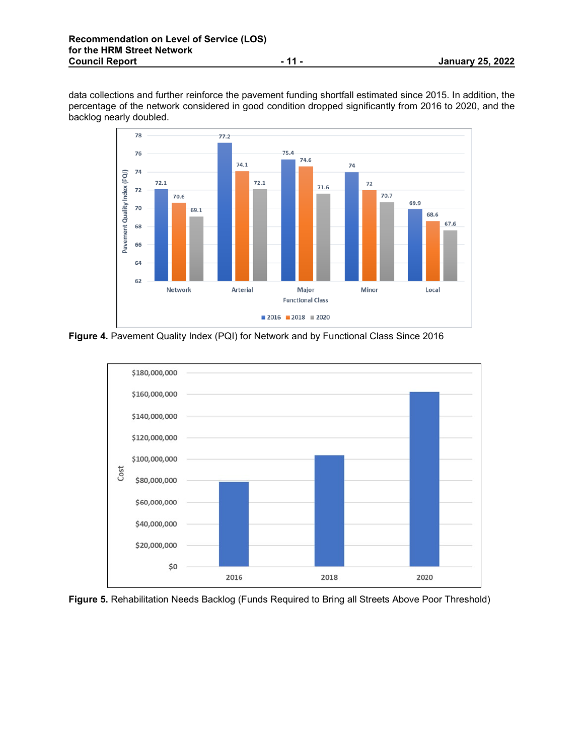data collections and further reinforce the pavement funding shortfall estimated since 2015. In addition, the percentage of the network considered in good condition dropped significantly from 2016 to 2020, and the backlog nearly doubled.



**Figure 4.** Pavement Quality Index (PQI) for Network and by Functional Class Since 2016



**Figure 5.** Rehabilitation Needs Backlog (Funds Required to Bring all Streets Above Poor Threshold)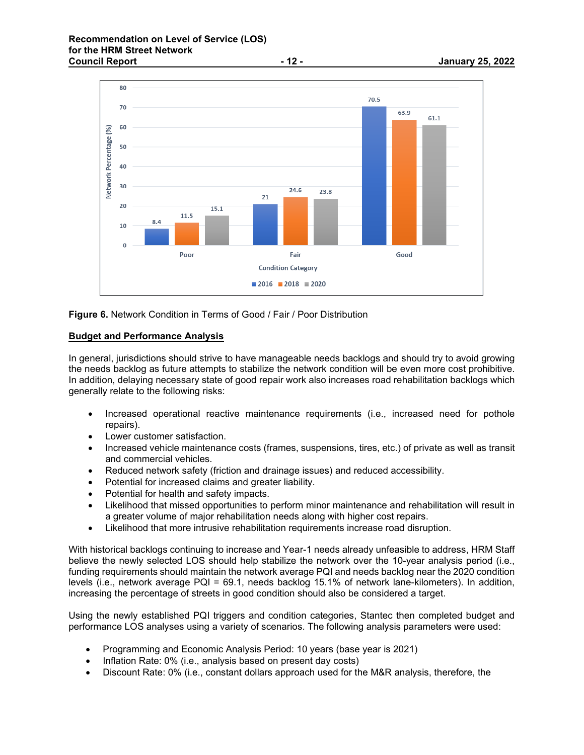

**Figure 6.** Network Condition in Terms of Good / Fair / Poor Distribution

## **Budget and Performance Analysis**

In general, jurisdictions should strive to have manageable needs backlogs and should try to avoid growing the needs backlog as future attempts to stabilize the network condition will be even more cost prohibitive. In addition, delaying necessary state of good repair work also increases road rehabilitation backlogs which generally relate to the following risks:

- Increased operational reactive maintenance requirements (i.e., increased need for pothole repairs).
- Lower customer satisfaction.
- Increased vehicle maintenance costs (frames, suspensions, tires, etc.) of private as well as transit and commercial vehicles.
- Reduced network safety (friction and drainage issues) and reduced accessibility.
- Potential for increased claims and greater liability.
- Potential for health and safety impacts.
- Likelihood that missed opportunities to perform minor maintenance and rehabilitation will result in a greater volume of major rehabilitation needs along with higher cost repairs.
- Likelihood that more intrusive rehabilitation requirements increase road disruption.

With historical backlogs continuing to increase and Year-1 needs already unfeasible to address, HRM Staff believe the newly selected LOS should help stabilize the network over the 10-year analysis period (i.e., funding requirements should maintain the network average PQI and needs backlog near the 2020 condition levels (i.e., network average PQI = 69.1, needs backlog 15.1% of network lane-kilometers). In addition, increasing the percentage of streets in good condition should also be considered a target.

Using the newly established PQI triggers and condition categories, Stantec then completed budget and performance LOS analyses using a variety of scenarios. The following analysis parameters were used:

- Programming and Economic Analysis Period: 10 years (base year is 2021)
- Inflation Rate: 0% (i.e., analysis based on present day costs)
- Discount Rate: 0% (i.e., constant dollars approach used for the M&R analysis, therefore, the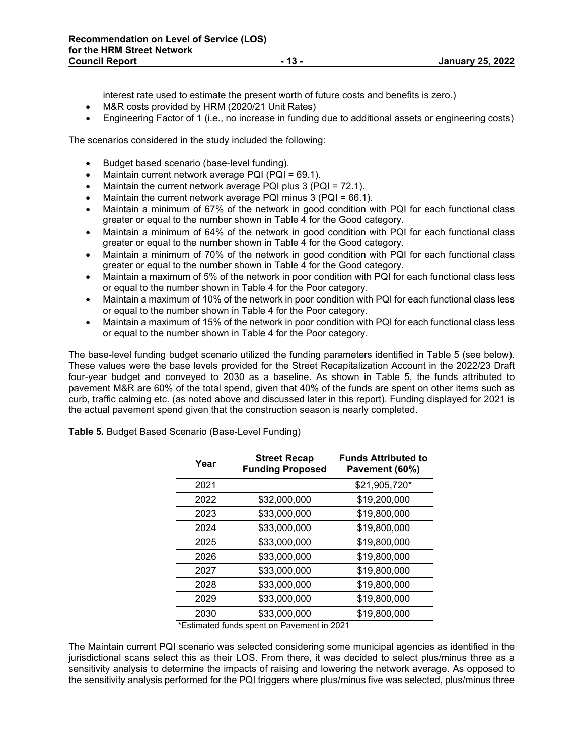interest rate used to estimate the present worth of future costs and benefits is zero.)

- M&R costs provided by HRM (2020/21 Unit Rates)
- Engineering Factor of 1 (i.e., no increase in funding due to additional assets or engineering costs)

The scenarios considered in the study included the following:

- Budget based scenario (base-level funding).
- Maintain current network average PQI (PQI = 69.1).
- Maintain the current network average PQI plus 3 (PQI = 72.1).
- Maintain the current network average PQI minus 3 (PQI = 66.1).
- Maintain a minimum of 67% of the network in good condition with PQI for each functional class greater or equal to the number shown in Table 4 for the Good category.
- Maintain a minimum of 64% of the network in good condition with PQI for each functional class greater or equal to the number shown in Table 4 for the Good category.
- Maintain a minimum of 70% of the network in good condition with PQI for each functional class greater or equal to the number shown in Table 4 for the Good category.
- Maintain a maximum of 5% of the network in poor condition with PQI for each functional class less or equal to the number shown in Table 4 for the Poor category.
- Maintain a maximum of 10% of the network in poor condition with PQI for each functional class less or equal to the number shown in Table 4 for the Poor category.
- Maintain a maximum of 15% of the network in poor condition with PQI for each functional class less or equal to the number shown in Table 4 for the Poor category.

The base-level funding budget scenario utilized the funding parameters identified in Table 5 (see below). These values were the base levels provided for the Street Recapitalization Account in the 2022/23 Draft four-year budget and conveyed to 2030 as a baseline. As shown in Table 5, the funds attributed to pavement M&R are 60% of the total spend, given that 40% of the funds are spent on other items such as curb, traffic calming etc. (as noted above and discussed later in this report). Funding displayed for 2021 is the actual pavement spend given that the construction season is nearly completed.

| Year | <b>Street Recap</b><br><b>Funding Proposed</b> | <b>Funds Attributed to</b><br>Pavement (60%) |
|------|------------------------------------------------|----------------------------------------------|
| 2021 |                                                | \$21,905,720*                                |
| 2022 | \$32,000,000                                   | \$19,200,000                                 |
| 2023 | \$33,000,000                                   | \$19,800,000                                 |
| 2024 | \$33,000,000                                   | \$19,800,000                                 |
| 2025 | \$33,000,000                                   | \$19,800,000                                 |
| 2026 | \$33,000,000                                   | \$19,800,000                                 |
| 2027 | \$33,000,000                                   | \$19,800,000                                 |
| 2028 | \$33,000,000                                   | \$19,800,000                                 |
| 2029 | \$33,000,000                                   | \$19,800,000                                 |
| 2030 | \$33,000,000                                   | \$19,800,000                                 |

**Table 5.** Budget Based Scenario (Base-Level Funding)

\*Estimated funds spent on Pavement in 2021

The Maintain current PQI scenario was selected considering some municipal agencies as identified in the jurisdictional scans select this as their LOS. From there, it was decided to select plus/minus three as a sensitivity analysis to determine the impacts of raising and lowering the network average. As opposed to the sensitivity analysis performed for the PQI triggers where plus/minus five was selected, plus/minus three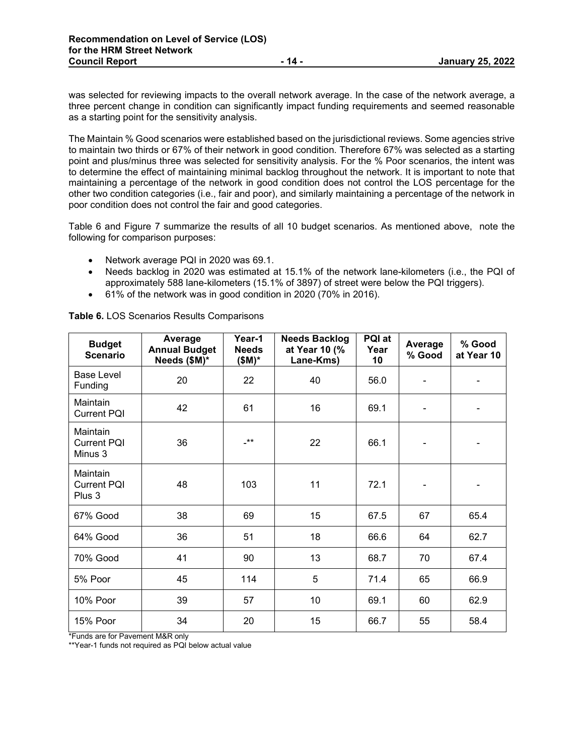was selected for reviewing impacts to the overall network average. In the case of the network average, a three percent change in condition can significantly impact funding requirements and seemed reasonable as a starting point for the sensitivity analysis.

The Maintain % Good scenarios were established based on the jurisdictional reviews. Some agencies strive to maintain two thirds or 67% of their network in good condition. Therefore 67% was selected as a starting point and plus/minus three was selected for sensitivity analysis. For the % Poor scenarios, the intent was to determine the effect of maintaining minimal backlog throughout the network. It is important to note that maintaining a percentage of the network in good condition does not control the LOS percentage for the other two condition categories (i.e., fair and poor), and similarly maintaining a percentage of the network in poor condition does not control the fair and good categories.

Table 6 and Figure 7 summarize the results of all 10 budget scenarios. As mentioned above, note the following for comparison purposes:

- Network average PQI in 2020 was 69.1.
- Needs backlog in 2020 was estimated at 15.1% of the network lane-kilometers (i.e., the PQI of approximately 588 lane-kilometers (15.1% of 3897) of street were below the PQI triggers).
- 61% of the network was in good condition in 2020 (70% in 2016).

| <b>Budget</b><br><b>Scenario</b>          | Average<br><b>Annual Budget</b><br>Needs (\$M)* | Year-1<br><b>Needs</b><br>$$M)^*$ | <b>Needs Backlog</b><br>at Year 10 (%<br>Lane-Kms) | PQI at<br>Year<br>10 | Average<br>% Good | % Good<br>at Year 10 |
|-------------------------------------------|-------------------------------------------------|-----------------------------------|----------------------------------------------------|----------------------|-------------------|----------------------|
| Base Level<br>Funding                     | 20                                              | 22                                | 40                                                 | 56.0                 |                   |                      |
| Maintain<br><b>Current PQI</b>            | 42                                              | 61                                | 16                                                 | 69.1                 |                   |                      |
| Maintain<br><b>Current PQI</b><br>Minus 3 | 36                                              | $**$                              | 22                                                 | 66.1                 |                   |                      |
| Maintain<br><b>Current PQI</b><br>Plus 3  | 48                                              | 103                               | 11                                                 | 72.1                 |                   |                      |
| 67% Good                                  | 38                                              | 69                                | 15                                                 | 67.5                 | 67                | 65.4                 |
| 64% Good                                  | 36                                              | 51                                | 18                                                 | 66.6                 | 64                | 62.7                 |
| 70% Good                                  | 41                                              | 90                                | 13                                                 | 68.7                 | 70                | 67.4                 |
| 5% Poor                                   | 45                                              | 114                               | 5                                                  | 71.4                 | 65                | 66.9                 |
| 10% Poor                                  | 39                                              | 57                                | 10                                                 | 69.1                 | 60                | 62.9                 |
| 15% Poor                                  | 34                                              | 20                                | 15                                                 | 66.7                 | 55                | 58.4                 |

**Table 6.** LOS Scenarios Results Comparisons

\*Funds are for Pavement M&R only

\*\*Year-1 funds not required as PQI below actual value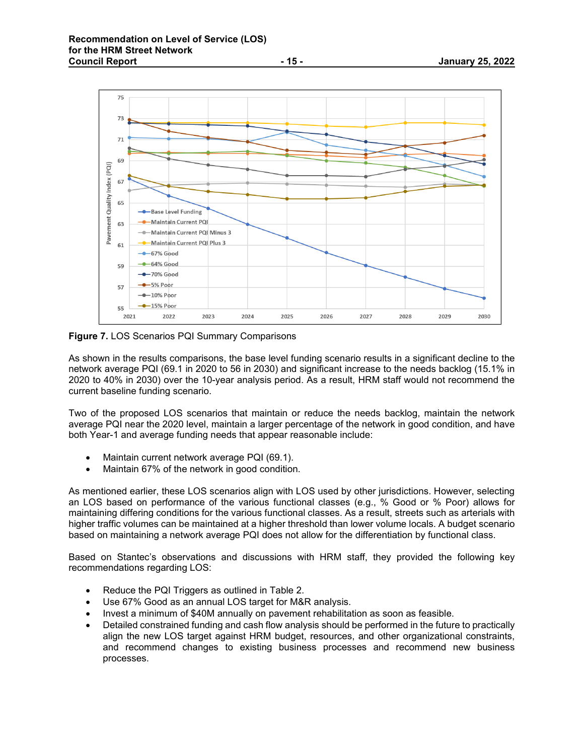

**Figure 7.** LOS Scenarios PQI Summary Comparisons

As shown in the results comparisons, the base level funding scenario results in a significant decline to the network average PQI (69.1 in 2020 to 56 in 2030) and significant increase to the needs backlog (15.1% in 2020 to 40% in 2030) over the 10-year analysis period. As a result, HRM staff would not recommend the current baseline funding scenario.

Two of the proposed LOS scenarios that maintain or reduce the needs backlog, maintain the network average PQI near the 2020 level, maintain a larger percentage of the network in good condition, and have both Year-1 and average funding needs that appear reasonable include:

- Maintain current network average PQI (69.1).
- Maintain 67% of the network in good condition.

As mentioned earlier, these LOS scenarios align with LOS used by other jurisdictions. However, selecting an LOS based on performance of the various functional classes (e.g., % Good or % Poor) allows for maintaining differing conditions for the various functional classes. As a result, streets such as arterials with higher traffic volumes can be maintained at a higher threshold than lower volume locals. A budget scenario based on maintaining a network average PQI does not allow for the differentiation by functional class.

Based on Stantec's observations and discussions with HRM staff, they provided the following key recommendations regarding LOS:

- Reduce the PQI Triggers as outlined in Table 2.
- Use 67% Good as an annual LOS target for M&R analysis.
- Invest a minimum of \$40M annually on pavement rehabilitation as soon as feasible.
- Detailed constrained funding and cash flow analysis should be performed in the future to practically align the new LOS target against HRM budget, resources, and other organizational constraints, and recommend changes to existing business processes and recommend new business processes.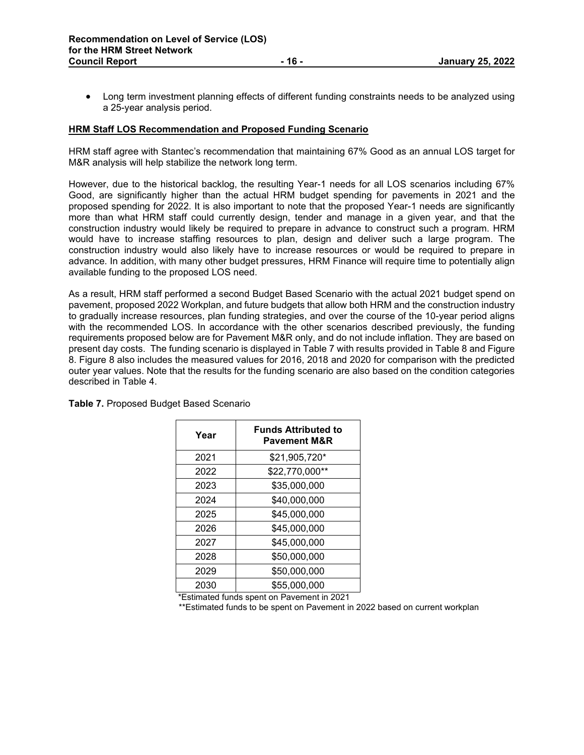• Long term investment planning effects of different funding constraints needs to be analyzed using a 25-year analysis period.

#### **HRM Staff LOS Recommendation and Proposed Funding Scenario**

HRM staff agree with Stantec's recommendation that maintaining 67% Good as an annual LOS target for M&R analysis will help stabilize the network long term.

However, due to the historical backlog, the resulting Year-1 needs for all LOS scenarios including 67% Good, are significantly higher than the actual HRM budget spending for pavements in 2021 and the proposed spending for 2022. It is also important to note that the proposed Year-1 needs are significantly more than what HRM staff could currently design, tender and manage in a given year, and that the construction industry would likely be required to prepare in advance to construct such a program. HRM would have to increase staffing resources to plan, design and deliver such a large program. The construction industry would also likely have to increase resources or would be required to prepare in advance. In addition, with many other budget pressures, HRM Finance will require time to potentially align available funding to the proposed LOS need.

As a result, HRM staff performed a second Budget Based Scenario with the actual 2021 budget spend on pavement, proposed 2022 Workplan, and future budgets that allow both HRM and the construction industry to gradually increase resources, plan funding strategies, and over the course of the 10-year period aligns with the recommended LOS. In accordance with the other scenarios described previously, the funding requirements proposed below are for Pavement M&R only, and do not include inflation. They are based on present day costs. The funding scenario is displayed in Table 7 with results provided in Table 8 and Figure 8. Figure 8 also includes the measured values for 2016, 2018 and 2020 for comparison with the predicted outer year values. Note that the results for the funding scenario are also based on the condition categories described in Table 4.

| Year | <b>Funds Attributed to</b><br><b>Pavement M&amp;R</b> |
|------|-------------------------------------------------------|
| 2021 | \$21,905,720*                                         |
| 2022 | \$22,770,000**                                        |
| 2023 | \$35,000,000                                          |
| 2024 | \$40,000,000                                          |
| 2025 | \$45,000,000                                          |
| 2026 | \$45,000,000                                          |
| 2027 | \$45,000,000                                          |
| 2028 | \$50,000,000                                          |
| 2029 | \$50,000,000                                          |
| 2030 | \$55,000,000                                          |

**Table 7.** Proposed Budget Based Scenario

\*Estimated funds spent on Pavement in 2021

\*\*Estimated funds to be spent on Pavement in 2022 based on current workplan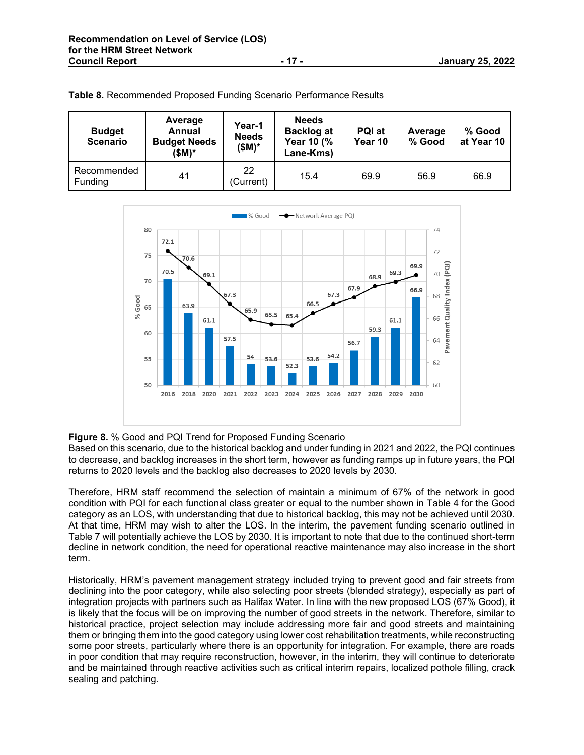| <b>Budget</b><br><b>Scenario</b> | Average<br>Annual<br><b>Budget Needs</b><br>(\$M)* | Year-1<br><b>Needs</b><br>(\$M)* | <b>Needs</b><br><b>Backlog at</b><br>Year 10 (%<br>Lane-Kms) | PQI at<br>Year 10 | Average<br>% Good | % Good<br>at Year 10 |
|----------------------------------|----------------------------------------------------|----------------------------------|--------------------------------------------------------------|-------------------|-------------------|----------------------|
| Recommended<br>Funding           | 41                                                 | 22<br>(Current)                  | 15.4                                                         | 69.9              | 56.9              | 66.9                 |

**Table 8.** Recommended Proposed Funding Scenario Performance Results



#### **Figure 8.** % Good and PQI Trend for Proposed Funding Scenario

Based on this scenario, due to the historical backlog and under funding in 2021 and 2022, the PQI continues to decrease, and backlog increases in the short term, however as funding ramps up in future years, the PQI returns to 2020 levels and the backlog also decreases to 2020 levels by 2030.

Therefore, HRM staff recommend the selection of maintain a minimum of 67% of the network in good condition with PQI for each functional class greater or equal to the number shown in Table 4 for the Good category as an LOS, with understanding that due to historical backlog, this may not be achieved until 2030. At that time, HRM may wish to alter the LOS. In the interim, the pavement funding scenario outlined in Table 7 will potentially achieve the LOS by 2030. It is important to note that due to the continued short-term decline in network condition, the need for operational reactive maintenance may also increase in the short term.

Historically, HRM's pavement management strategy included trying to prevent good and fair streets from declining into the poor category, while also selecting poor streets (blended strategy), especially as part of integration projects with partners such as Halifax Water. In line with the new proposed LOS (67% Good), it is likely that the focus will be on improving the number of good streets in the network. Therefore, similar to historical practice, project selection may include addressing more fair and good streets and maintaining them or bringing them into the good category using lower cost rehabilitation treatments, while reconstructing some poor streets, particularly where there is an opportunity for integration. For example, there are roads in poor condition that may require reconstruction, however, in the interim, they will continue to deteriorate and be maintained through reactive activities such as critical interim repairs, localized pothole filling, crack sealing and patching.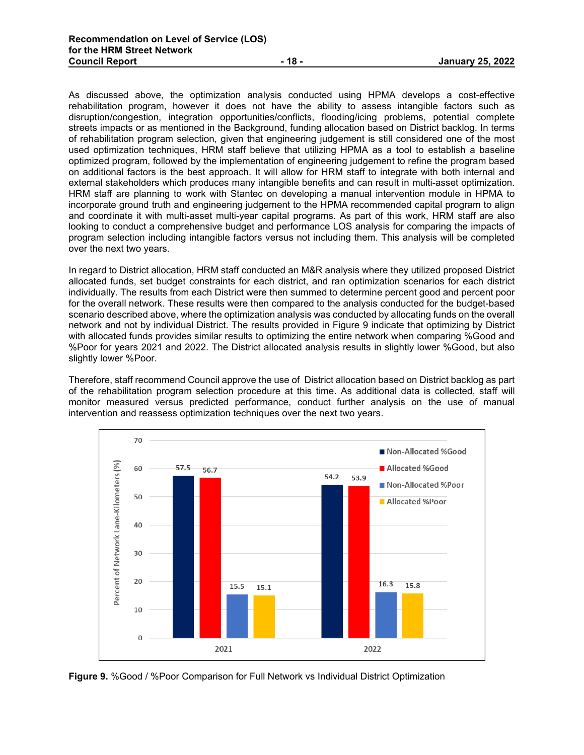As discussed above, the optimization analysis conducted using HPMA develops a cost-effective rehabilitation program, however it does not have the ability to assess intangible factors such as disruption/congestion, integration opportunities/conflicts, flooding/icing problems, potential complete streets impacts or as mentioned in the Background, funding allocation based on District backlog. In terms of rehabilitation program selection, given that engineering judgement is still considered one of the most used optimization techniques, HRM staff believe that utilizing HPMA as a tool to establish a baseline optimized program, followed by the implementation of engineering judgement to refine the program based on additional factors is the best approach. It will allow for HRM staff to integrate with both internal and external stakeholders which produces many intangible benefits and can result in multi-asset optimization. HRM staff are planning to work with Stantec on developing a manual intervention module in HPMA to incorporate ground truth and engineering judgement to the HPMA recommended capital program to align and coordinate it with multi-asset multi-year capital programs. As part of this work, HRM staff are also looking to conduct a comprehensive budget and performance LOS analysis for comparing the impacts of program selection including intangible factors versus not including them. This analysis will be completed over the next two years.

In regard to District allocation, HRM staff conducted an M&R analysis where they utilized proposed District allocated funds, set budget constraints for each district, and ran optimization scenarios for each district individually. The results from each District were then summed to determine percent good and percent poor for the overall network. These results were then compared to the analysis conducted for the budget-based scenario described above, where the optimization analysis was conducted by allocating funds on the overall network and not by individual District. The results provided in Figure 9 indicate that optimizing by District with allocated funds provides similar results to optimizing the entire network when comparing %Good and %Poor for years 2021 and 2022. The District allocated analysis results in slightly lower %Good, but also slightly lower %Poor.

Therefore, staff recommend Council approve the use of District allocation based on District backlog as part of the rehabilitation program selection procedure at this time. As additional data is collected, staff will monitor measured versus predicted performance, conduct further analysis on the use of manual intervention and reassess optimization techniques over the next two years.



**Figure 9.** %Good / %Poor Comparison for Full Network vs Individual District Optimization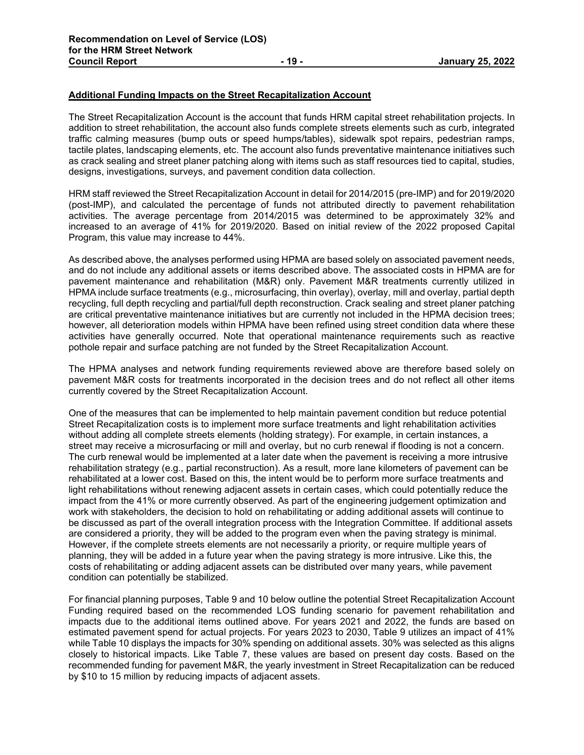## **Additional Funding Impacts on the Street Recapitalization Account**

The Street Recapitalization Account is the account that funds HRM capital street rehabilitation projects. In addition to street rehabilitation, the account also funds complete streets elements such as curb, integrated traffic calming measures (bump outs or speed humps/tables), sidewalk spot repairs, pedestrian ramps, tactile plates, landscaping elements, etc. The account also funds preventative maintenance initiatives such as crack sealing and street planer patching along with items such as staff resources tied to capital, studies, designs, investigations, surveys, and pavement condition data collection.

HRM staff reviewed the Street Recapitalization Account in detail for 2014/2015 (pre-IMP) and for 2019/2020 (post-IMP), and calculated the percentage of funds not attributed directly to pavement rehabilitation activities. The average percentage from 2014/2015 was determined to be approximately 32% and increased to an average of 41% for 2019/2020. Based on initial review of the 2022 proposed Capital Program, this value may increase to 44%.

As described above, the analyses performed using HPMA are based solely on associated pavement needs, and do not include any additional assets or items described above. The associated costs in HPMA are for pavement maintenance and rehabilitation (M&R) only. Pavement M&R treatments currently utilized in HPMA include surface treatments (e.g., microsurfacing, thin overlay), overlay, mill and overlay, partial depth recycling, full depth recycling and partial/full depth reconstruction. Crack sealing and street planer patching are critical preventative maintenance initiatives but are currently not included in the HPMA decision trees; however, all deterioration models within HPMA have been refined using street condition data where these activities have generally occurred. Note that operational maintenance requirements such as reactive pothole repair and surface patching are not funded by the Street Recapitalization Account.

The HPMA analyses and network funding requirements reviewed above are therefore based solely on pavement M&R costs for treatments incorporated in the decision trees and do not reflect all other items currently covered by the Street Recapitalization Account.

One of the measures that can be implemented to help maintain pavement condition but reduce potential Street Recapitalization costs is to implement more surface treatments and light rehabilitation activities without adding all complete streets elements (holding strategy). For example, in certain instances, a street may receive a microsurfacing or mill and overlay, but no curb renewal if flooding is not a concern. The curb renewal would be implemented at a later date when the pavement is receiving a more intrusive rehabilitation strategy (e.g., partial reconstruction). As a result, more lane kilometers of pavement can be rehabilitated at a lower cost. Based on this, the intent would be to perform more surface treatments and light rehabilitations without renewing adjacent assets in certain cases, which could potentially reduce the impact from the 41% or more currently observed. As part of the engineering judgement optimization and work with stakeholders, the decision to hold on rehabilitating or adding additional assets will continue to be discussed as part of the overall integration process with the Integration Committee. If additional assets are considered a priority, they will be added to the program even when the paving strategy is minimal. However, if the complete streets elements are not necessarily a priority, or require multiple years of planning, they will be added in a future year when the paving strategy is more intrusive. Like this, the costs of rehabilitating or adding adjacent assets can be distributed over many years, while pavement condition can potentially be stabilized.

For financial planning purposes, Table 9 and 10 below outline the potential Street Recapitalization Account Funding required based on the recommended LOS funding scenario for pavement rehabilitation and impacts due to the additional items outlined above. For years 2021 and 2022, the funds are based on estimated pavement spend for actual projects. For years 2023 to 2030, Table 9 utilizes an impact of 41% while Table 10 displays the impacts for 30% spending on additional assets. 30% was selected as this aligns closely to historical impacts. Like Table 7, these values are based on present day costs. Based on the recommended funding for pavement M&R, the yearly investment in Street Recapitalization can be reduced by \$10 to 15 million by reducing impacts of adjacent assets.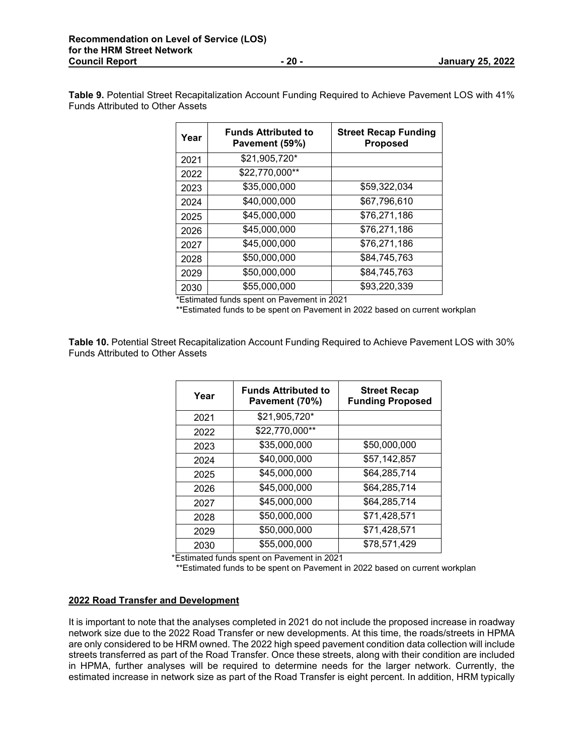**Table 9.** Potential Street Recapitalization Account Funding Required to Achieve Pavement LOS with 41% Funds Attributed to Other Assets

| Year | <b>Funds Attributed to</b><br>Pavement (59%) | <b>Street Recap Funding</b><br><b>Proposed</b> |
|------|----------------------------------------------|------------------------------------------------|
| 2021 | \$21,905,720*                                |                                                |
| 2022 | \$22,770,000**                               |                                                |
| 2023 | \$35,000,000                                 | \$59,322,034                                   |
| 2024 | \$40,000,000                                 | \$67,796,610                                   |
| 2025 | \$45,000,000                                 | \$76,271,186                                   |
| 2026 | \$45,000,000                                 | \$76,271,186                                   |
| 2027 | \$45,000,000                                 | \$76,271,186                                   |
| 2028 | \$50,000,000                                 | \$84,745,763                                   |
| 2029 | \$50,000,000                                 | \$84,745,763                                   |
| 2030 | \$55,000,000                                 | \$93,220,339                                   |

\*Estimated funds spent on Pavement in 2021

\*\*Estimated funds to be spent on Pavement in 2022 based on current workplan

**Table 10.** Potential Street Recapitalization Account Funding Required to Achieve Pavement LOS with 30% Funds Attributed to Other Assets

| Year | <b>Funds Attributed to</b><br>Pavement (70%) | <b>Street Recap</b><br><b>Funding Proposed</b> |
|------|----------------------------------------------|------------------------------------------------|
| 2021 | \$21,905,720*                                |                                                |
| 2022 | \$22,770,000**                               |                                                |
| 2023 | \$35,000,000                                 | \$50,000,000                                   |
| 2024 | \$40,000,000                                 | \$57,142,857                                   |
| 2025 | \$45,000,000                                 | \$64,285,714                                   |
| 2026 | \$45,000,000                                 | \$64,285,714                                   |
| 2027 | \$45,000,000                                 | \$64,285,714                                   |
| 2028 | \$50,000,000                                 | \$71,428,571                                   |
| 2029 | \$50,000,000                                 | \$71,428,571                                   |
| 2030 | \$55,000,000                                 | \$78,571,429                                   |

\*Estimated funds spent on Pavement in 2021

\*\*Estimated funds to be spent on Pavement in 2022 based on current workplan

## **2022 Road Transfer and Development**

It is important to note that the analyses completed in 2021 do not include the proposed increase in roadway network size due to the 2022 Road Transfer or new developments. At this time, the roads/streets in HPMA are only considered to be HRM owned. The 2022 high speed pavement condition data collection will include streets transferred as part of the Road Transfer. Once these streets, along with their condition are included in HPMA, further analyses will be required to determine needs for the larger network. Currently, the estimated increase in network size as part of the Road Transfer is eight percent. In addition, HRM typically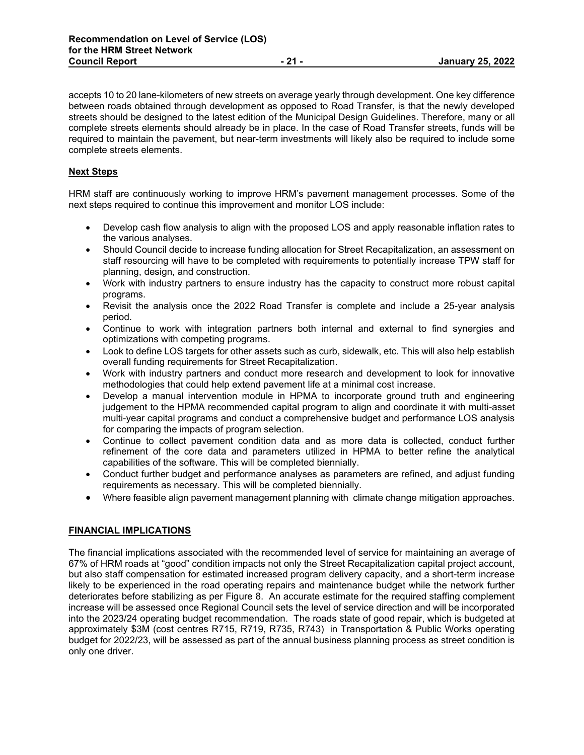accepts 10 to 20 lane-kilometers of new streets on average yearly through development. One key difference between roads obtained through development as opposed to Road Transfer, is that the newly developed streets should be designed to the latest edition of the Municipal Design Guidelines. Therefore, many or all complete streets elements should already be in place. In the case of Road Transfer streets, funds will be required to maintain the pavement, but near-term investments will likely also be required to include some complete streets elements.

## **Next Steps**

HRM staff are continuously working to improve HRM's pavement management processes. Some of the next steps required to continue this improvement and monitor LOS include:

- Develop cash flow analysis to align with the proposed LOS and apply reasonable inflation rates to the various analyses.
- Should Council decide to increase funding allocation for Street Recapitalization, an assessment on staff resourcing will have to be completed with requirements to potentially increase TPW staff for planning, design, and construction.
- Work with industry partners to ensure industry has the capacity to construct more robust capital programs.
- Revisit the analysis once the 2022 Road Transfer is complete and include a 25-year analysis period.
- Continue to work with integration partners both internal and external to find synergies and optimizations with competing programs.
- Look to define LOS targets for other assets such as curb, sidewalk, etc. This will also help establish overall funding requirements for Street Recapitalization.
- Work with industry partners and conduct more research and development to look for innovative methodologies that could help extend pavement life at a minimal cost increase.
- Develop a manual intervention module in HPMA to incorporate ground truth and engineering judgement to the HPMA recommended capital program to align and coordinate it with multi-asset multi-year capital programs and conduct a comprehensive budget and performance LOS analysis for comparing the impacts of program selection.
- Continue to collect pavement condition data and as more data is collected, conduct further refinement of the core data and parameters utilized in HPMA to better refine the analytical capabilities of the software. This will be completed biennially.
- Conduct further budget and performance analyses as parameters are refined, and adjust funding requirements as necessary. This will be completed biennially.
- Where feasible align pavement management planning with climate change mitigation approaches.

## **FINANCIAL IMPLICATIONS**

The financial implications associated with the recommended level of service for maintaining an average of 67% of HRM roads at "good" condition impacts not only the Street Recapitalization capital project account, but also staff compensation for estimated increased program delivery capacity, and a short-term increase likely to be experienced in the road operating repairs and maintenance budget while the network further deteriorates before stabilizing as per Figure 8. An accurate estimate for the required staffing complement increase will be assessed once Regional Council sets the level of service direction and will be incorporated into the 2023/24 operating budget recommendation. The roads state of good repair, which is budgeted at approximately \$3M (cost centres R715, R719, R735, R743) in Transportation & Public Works operating budget for 2022/23, will be assessed as part of the annual business planning process as street condition is only one driver.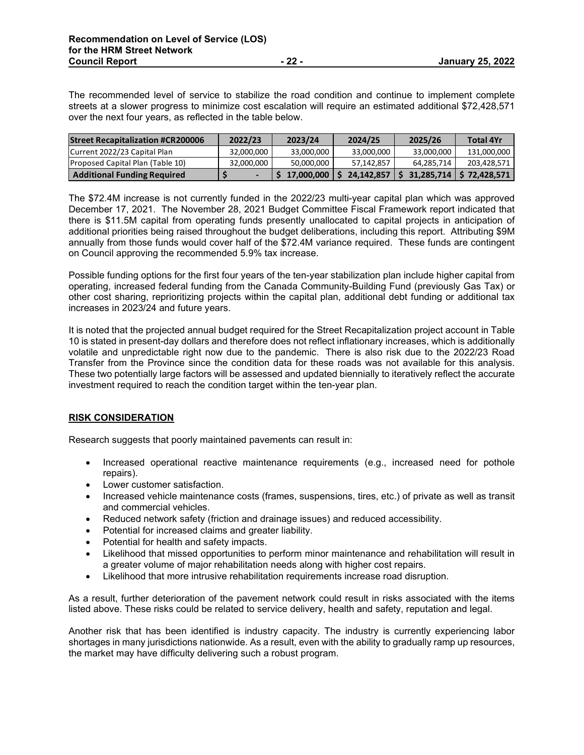The recommended level of service to stabilize the road condition and continue to implement complete streets at a slower progress to minimize cost escalation will require an estimated additional \$72,428,571 over the next four years, as reflected in the table below.

| <b>Street Recapitalization #CR200006</b> | 2022/23    | 2023/24    | 2024/25    | 2025/26    | <b>Total 4Yr</b>           |
|------------------------------------------|------------|------------|------------|------------|----------------------------|
| Current 2022/23 Capital Plan             | 32.000.000 | 33.000.000 | 33.000.000 | 33.000.000 | 131.000.000                |
| Proposed Capital Plan (Table 10)         | 32.000.000 | 50.000.000 | 57,142,857 | 64.285.714 | 203.428.571                |
| <b>Additional Funding Required</b>       |            | 17.000.000 | 24,142,857 |            | 31,285,714   \$ 72,428,571 |

The \$72.4M increase is not currently funded in the 2022/23 multi-year capital plan which was approved December 17, 2021. The November 28, 2021 Budget Committee Fiscal Framework report indicated that there is \$11.5M capital from operating funds presently unallocated to capital projects in anticipation of additional priorities being raised throughout the budget deliberations, including this report. Attributing \$9M annually from those funds would cover half of the \$72.4M variance required. These funds are contingent on Council approving the recommended 5.9% tax increase.

Possible funding options for the first four years of the ten-year stabilization plan include higher capital from operating, increased federal funding from the Canada Community-Building Fund (previously Gas Tax) or other cost sharing, reprioritizing projects within the capital plan, additional debt funding or additional tax increases in 2023/24 and future years.

It is noted that the projected annual budget required for the Street Recapitalization project account in Table 10 is stated in present-day dollars and therefore does not reflect inflationary increases, which is additionally volatile and unpredictable right now due to the pandemic. There is also risk due to the 2022/23 Road Transfer from the Province since the condition data for these roads was not available for this analysis. These two potentially large factors will be assessed and updated biennially to iteratively reflect the accurate investment required to reach the condition target within the ten-year plan.

## **RISK CONSIDERATION**

Research suggests that poorly maintained pavements can result in:

- Increased operational reactive maintenance requirements (e.g., increased need for pothole repairs).
- Lower customer satisfaction.
- Increased vehicle maintenance costs (frames, suspensions, tires, etc.) of private as well as transit and commercial vehicles.
- Reduced network safety (friction and drainage issues) and reduced accessibility.
- Potential for increased claims and greater liability.
- Potential for health and safety impacts.
- Likelihood that missed opportunities to perform minor maintenance and rehabilitation will result in a greater volume of major rehabilitation needs along with higher cost repairs.
- Likelihood that more intrusive rehabilitation requirements increase road disruption.

As a result, further deterioration of the pavement network could result in risks associated with the items listed above. These risks could be related to service delivery, health and safety, reputation and legal.

Another risk that has been identified is industry capacity. The industry is currently experiencing labor shortages in many jurisdictions nationwide. As a result, even with the ability to gradually ramp up resources, the market may have difficulty delivering such a robust program.